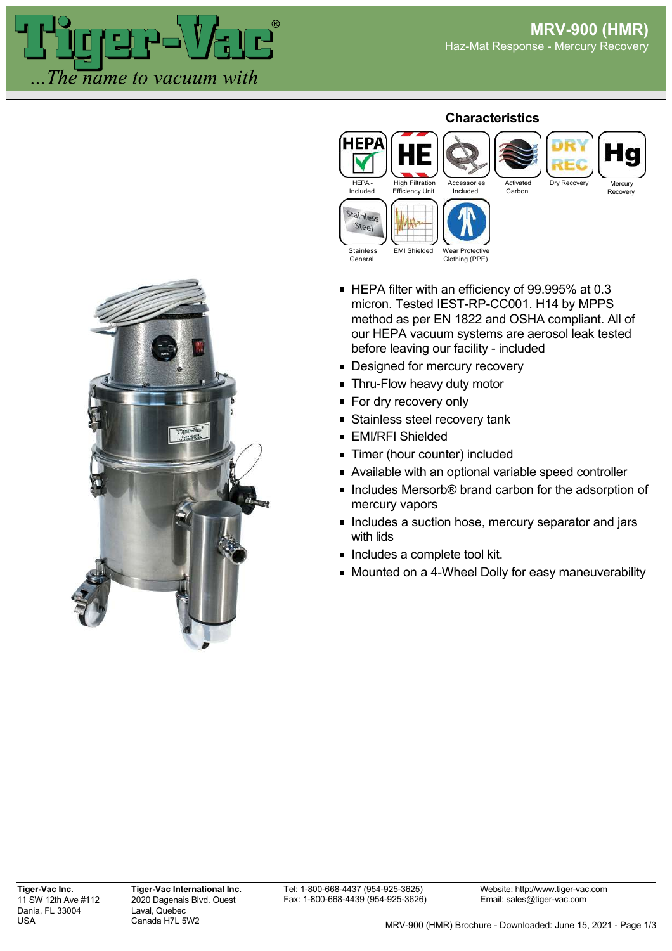

## **Characteristics**



- HEPA filter with an efficiency of 99.995% at 0.3 micron. Tested IEST-RP-CC001. H14 by MPPS method as per EN 1822 and OSHA compliant. All of our HEPA vacuum systems are aerosol leak tested before leaving our facility - included
- **Designed for mercury recovery**
- **Thru-Flow heavy duty motor**
- For dry recovery only
- **Stainless steel recovery tank**
- **EMI/RFI Shielded**
- **Timer (hour counter) included**
- Available with an optional variable speed controller
- Includes Mersorb® brand carbon for the adsorption of mercury vapors
- **Includes a suction hose, mercury separator and jars** with lids
- $\blacksquare$  Includes a complete tool kit.
- Mounted on a 4-Wheel Dolly for easy maneuverability

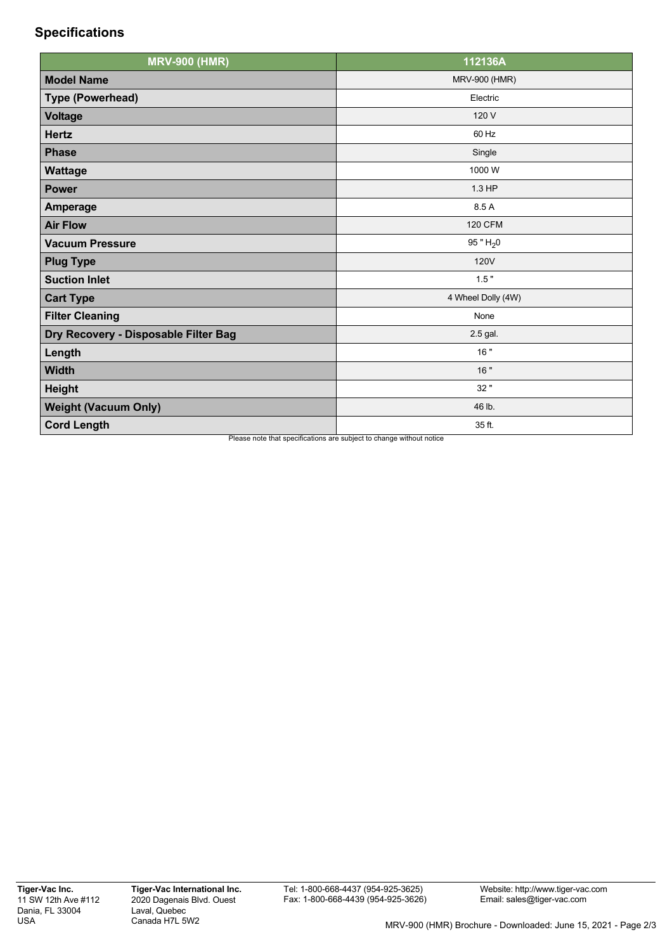## **Specifications**

| <b>MRV-900 (HMR)</b>                 | 112136A              |
|--------------------------------------|----------------------|
| <b>Model Name</b>                    | <b>MRV-900 (HMR)</b> |
| <b>Type (Powerhead)</b>              | Electric             |
| <b>Voltage</b>                       | 120 V                |
| <b>Hertz</b>                         | 60 Hz                |
| <b>Phase</b>                         | Single               |
| Wattage                              | 1000W                |
| <b>Power</b>                         | 1.3 HP               |
| <b>Amperage</b>                      | 8.5 A                |
| <b>Air Flow</b>                      | <b>120 CFM</b>       |
| <b>Vacuum Pressure</b>               | 95 " $H_2$ 0         |
| <b>Plug Type</b>                     | <b>120V</b>          |
| <b>Suction Inlet</b>                 | 1.5"                 |
| <b>Cart Type</b>                     | 4 Wheel Dolly (4W)   |
| <b>Filter Cleaning</b>               | None                 |
| Dry Recovery - Disposable Filter Bag | 2.5 gal.             |
| Length                               | 16"                  |
| <b>Width</b>                         | 16"                  |
| <b>Height</b>                        | 32 "                 |
| <b>Weight (Vacuum Only)</b>          | 46 lb.               |
| <b>Cord Length</b>                   | 35 ft.               |

Please note that specifications are subject to change without notice